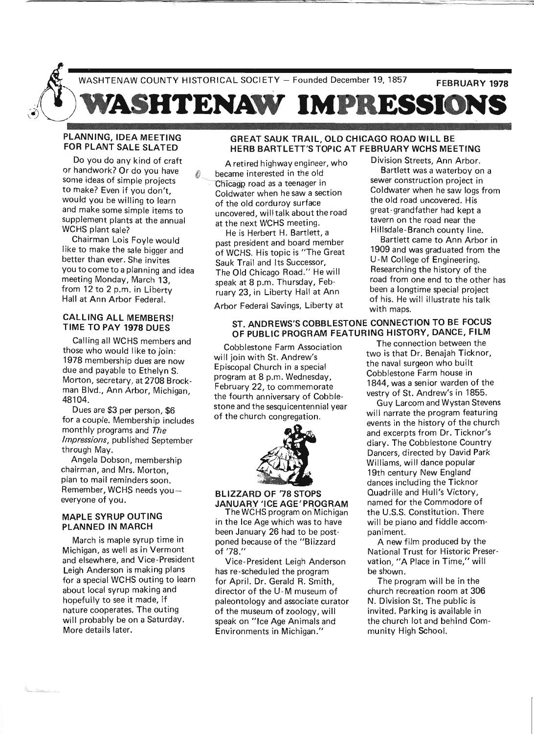

## PLANNING, IDEA MEETING FOR PLANT SALE SLATED

Do you do any kind of craft or handwork? Or do you have some ideas of simple projects to make? Even if you don't, would you be willing to learn and make some simple items to supplement plants at the annual WCHS plant sale?

Chairman Lois Foyle would like to make the sale bigger and better than ever. She invites you to come to a planning and idea meeting Monday, March 13, from 12 to 2 p.m. in Liberty Hall at Ann Arbor Federal.

### CALLING ALL MEMBERS! TIME TO PAY 1978 DUES

Calling all WCHS members and those who would like to join: 1978 membership dues are now due and payable to Ethelyn S. Morton, secretary, at 2708 Brockman Blvd., Ann Arbor, Michigan, 48104.

Dues are \$3 per person, \$6 for a couple. Membership includes monthly programs and The *Impressions,* published September through May.

Angela Dobson, membership chairman, and Mrs. Morton, plan to mail reminders soon. Remember, WCHS needs youeveryone of you.

### MAPLE SYRUP OUTING PLANNED IN MARCH

March is maple syrup time in Michigan, as well as in Vermont and elsewhere, and Vice-President Leigh Anderson is making plans for a special WCHS outing to learn about local syrup making and hopefully to see it made, if nature cooperates. The outing will probably be on a Saturday. More details later.

## GREAT SAUK TRAIL, OLD CHICAGO ROAD WILL BE HERB BARTLETT'S TOPIC AT FEBRUARY WCHS MEETING

A retired highway engineer, who became interested in the old Chicagp road as a teenager in Coldwater when he saw a section of the old corduroy surface uncovered, will talk about the road at the next WCHS meeting.

He is Herbert H. Bartlett, a past president and board member of WCHS. His topic is "The Great Sauk Trail and Its Successor, The Old Chicago Road." He will speak at 8 p.m. Thursday, February 23, in Liberty Hall at Ann

Arbor Federal Savings, Liberty at

# ST. ANDREWS'S COBBLESTONE CONNECTION TO BE FOCUS OF PUBLIC PROGRAM FEATURING HISTORY, DANCE, FILM

Cobblestone Farm Association will join with St. Andrew's Episcopal Church in a special program at 8 p.m. Wednesday, February 22, to commemorate the fourth anniversary of Cobblestone and the sesquicentennial year of the church congregation.



### BLIZZARD OF '78 STOPS JANUARY 'ICE AGE'PROGRAM

The WCHS program on Michigan in the Ice Age which was to have been January 26 had to be postponed because of the "Blizzard of '78."

Vice- President Leigh Anderson has re-scheduled the program for April. Dr. Gerald R. Smith, director of the U-M museum of paleontology and associate curator of the museum of zoology, will speak on "Ice Age Animals and Environments in Michigan."

Division Streets, Ann Arbor.

Bartlett was a waterboy on a sewer construction project in Coldwater when he saw logs from the old road uncovered. His great-grandfather had kept a tavern on the road near the Hillsdale-Branch county line.

Bartlett came to Ann Arbor in 1909 and was graduated from the U-M College of Engineering. Researching the history of the road from one end to the other has been a longtime special project of his. He will illustrate his talk with maps.

The connection between the two is that Dr. Benajah Ticknor, the naval surgeon who built Cobblestone Farm house in 1844, was a senior warden of the vestry of St. Andrew's in 1855.

Guy Larcom and Wystan Stevens will narrate the program featuring events in the history of the church and excerpts from Dr. Ticknor's diary. The Cobblestone Country Dancers, directed by David Park Williams, will dance popular 19th century New England dances including the Ticknor Quadrille and Hull's Victory, named for the Commodore of the U.S.S. Constitution. There will be piano and fiddle accompaniment.

A new film produced by the National Trust for Historic Preservation, "A Place in Time," will be shown.

The program will be in the church recreation room at 306 N. Division St. The public is invited. Parking is available in the church lot and behind Community High School.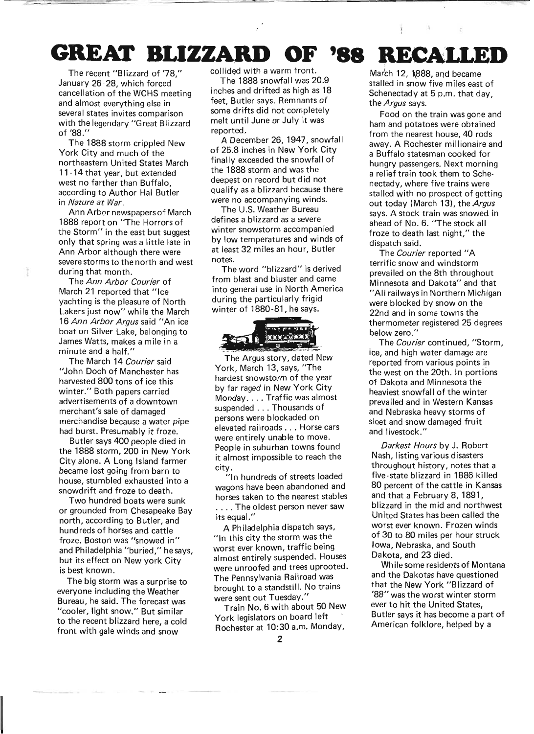# **GREAT BLIZZARD OF '88** RECALLED

The recent "Blizzard of '78." January 26-28, which forced' cancellation of the WCHS meeting and almost everything else in several states invites comparison with the legendary "Great Blizzard of '88."

The 1888 storm crippled New York City and much of the northeastern United States March 11 -14 that year, but extended west no farther than Buffalo according to Author Hal Butier in Nature at War.

Ann Arbor newspapers of March 1888 report on "The Horrors of the Storm" in the east but suggest only that spring was a little late in Ann Arbor although there were severe storms to the north and west during that month.

The Ann Arbor Courier of March 21 reported that "Ice yachting is the pleasure of North Lakers just now" while the March 16 Ann Arbor Argus said "An ice boat on Silver Lake, belonging to James Watts, makes a mile in a minute and a half."

The March 14 Courier said "John Doch of Manchester has harvested 800 tons of ice this winter." Both papers carried advertisements of a downtown merchant's sale of damaged merchandise because a water pipe had burst. Presumably it froze.

Butler says 400 people died in the 1888 storm, 200 in New York City alone. A Long Island farmer became lost going from barn to house, stumbled exhausted into a snowdrift and froze to death.

Two hundred boats were sunk or grounded from Chesapeake Bay north, according to Butler, and hundreds of horses and cattle froze. Boston was "snowed in" and Philadelphia "buried," he says, but its effect on New york City is best known.

The big storm was a surprise to everyone including the Weather Bureau, he said. The forecast was "cooler, light snow." But similar to the recent blizzard here, a cold front with gale winds and snow

collided with a warm tront.

The 1888 snowfall was 20.9 inches and drifted as high as 18 feet, Butler says. Remnants of some drifts did not completely melt until June or July it was reported.

A December 26,1947, snowfall of 25.8 inches in New York City finally exceeded the snowfall of the 1888 storm and was the deepest on record but did not qualify as a blizzard because there were no accompanying winds.

The U.S. Weather Bureau defines a blizzard as a severe winter snowstorm accompanied by low temperatures and winds of at least 32 miles an hour, Butler notes.

The word "blizzard" is derived from blast and bluster and came into general use in North America during the particularly frigid winter of 1880-81, he says.



The Argus story, dated New York, March 13, says, "The hardest snowstorm of the year by far raged in New York City Monday.... Traffic was almost suspended ... Thousands of persons were blockaded on elevated railroads ... Horse cars were entirely unable to move. People in suburban towns found it almost impossible to reach the city.

"In hundreds of streets loaded wagons have been abandoned and horses taken to the nearest stables .... The oldest person never saw its equal."

A Philadelphia dispatch says, "In this city the storm was the worst ever known, traffic being almost entirely suspended. Houses were unroofed and trees uprooted. The Pennsylvania Railroad was brought to a standstill. No trains were sent out Tuesday."

Train No.6 with about 50 New York legislators on board left Rochester at 10:30 a.m. Monday,

March 12, 1888, and became stalled in snow five miles east of Schenectady at 5 p.m. that day. the Argus says.

Food on the train was gone and ham and potatoes were obtained from the nearest house, 40 rods away. A Rochester millionaire and a Buffalo statesman cooked for hungry passengers. Next morning a relief train took them to Schenectady, where five trains were stalled with no prospect of getting out today (March 13), the Argus says. A stock train was snowed in ahead of No.6. "The stock all froze to death last night," the dispatch said.

The Courier reported "A terrific snow and windstorm prevailed on the 8th throughout Minnesota and Dakota" and that "All railways in Northern Michigan were blocked by snow on the 22nd and in some towns the thermometer registered 25 degrees below zero."

The Courier continued, "Storm, ice, and high water damage are reported from various points in the west on the 20th. In portions of Dakota and Minnesota the heaviest snowfall of the winter prevailed and in Western Kansas and Nebraska heavy storms of sleet and snow damaged fruit and livestock."

Darkest Hours by J. Robert Nash, listing various disasters throughout history, notes that a five-state blizzard in 1886 killed 80 percent of the cattle in Kansas and that a February 8,1891, blizzard in the mid and northwest United States has been called the worst ever known. Frozen winds of 30 to 80 miles per hour struck Iowa, Nebraska, and South Dakota, and 23 died.

While some residents of Montana and the Dakotas have questioned that the New York "Blizzard of '88" was the worst winter storm ever to hit the United States Butler says it has become a part of American folklore, helped by a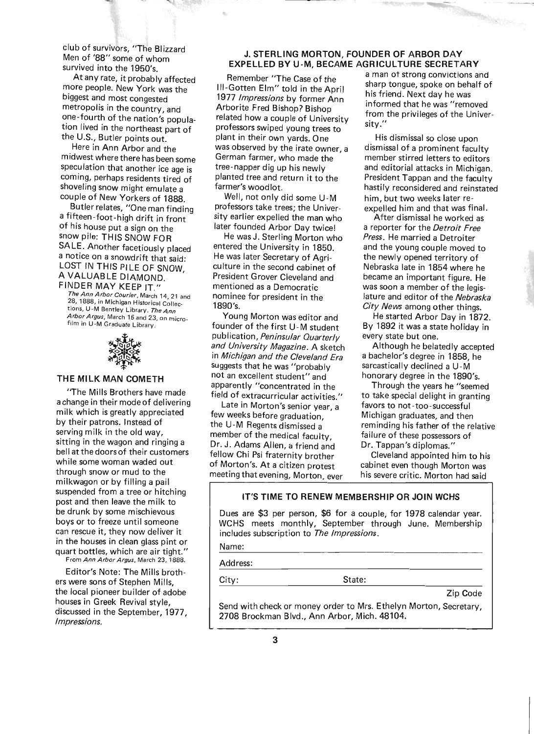club of survivors, "The BI izzard Men of '88" some of whom survived into the 1950's.

At any rate, it probably affected more people. New York was the biggest and most congested metropolis in the country, and one-fourth of the nation's population lived in the northeast part of the U.S., Butler points out.

Here in Ann Arbor and the midwest where there has been some speculation that another ice age is coming, perhaps residents tired of shoveling snow might emulate a couple of New Yorkers of 1888.

Butler relates, "One man finding a fifteen-foot-high drift in front of his house put a sign on the snow pile: THIS SNOW FOR SALE. Another facetiously placed a notice on a snowdrift that said: LOST IN THIS PILE OF SNOW. A VALUABLE DIAMOND. ' FINDER MAY KEEP IT."

The Ann Arbor Courier, March 14,21 and 28, 1888, in Michigan Historical Collections, U-M Bentley Library. The Ann Arbor Argus, March 16 and 23, on microfilm in U-M Graduate Library.



#### THE MILK MAN COMETH

"The Mills Brothers have made a change in their mode of delivering milk which is greatly appreciated by their patrons. Instead of serving milk in the old way, sitting in the wagon and ringing a beil at the doors of their customers while some woman waded out through snow or mud to the milkwagon or by filling a pail suspended from a tree or hitching post and then leave the milk to be drunk by some mischievous boys or to freeze until someone can rescue it, they now deliver it in the houses in clean glass pint or quart bottles, which are air tight." From Ann Arbor Argus, March 23, 1888.

Editor's Note: The Mills brothers were sons of Stephen Mills, the local pioneer builder of adobe houses in Greek Revival style, discussed in the September, 1977, Impressions.

### J. STERLING MORTON, FOUNDER OF ARBOR DAY EXPELLED BY U-M, BECAME AGRICULTURE SECRETARY

Remember "The Case of the III-Gotten Elm" told in the April 1977 Impressions by former Ann Arborite Fred Bishop? Bishop related how a couple of University professors swiped young trees to plant in their own yards. One was observed by the irate owner, a German farmer, who made the tree-napper dig up his newly planted tree and return it to the farmer's woodlot.

Well, not only did some U-M professors take trees; the University earlier expelled the man who later founded Arbor Day twice!

He was J. Sterling Morton who entered the University in 1850. He was later Secretary of Agriculture in the second cabinet of President Grover Cleveland and mentioned as a Democratic nominee for president in the 1890's.

Young Morton was editor and founder of the first U -M student publication, Peninsular Quarterly and University Magazine. A sketch in Michigan and the Cleveland Era suggests that he was "probably not an excellent student" and apparently "concentrated in the field of extracurricular activities."

Late in Morton's senior year, a few weeks before graduation, the U-M Regents dismissed a member of the medical faculty, Dr. J. Adams Allen, a friend and fellow Chi Psi fraternity brother of Morton's. At a citizen protest meeting that evening, Morton, ever

a man ot strong convictions and sharp tongue, spoke on behalf of his friend. Next day he was informed that he was "removed from the privileges of the University."

 $\mathcal{L}$  is

His dismissal so close upon dismissal of a prominent faculty member stirred letters to editors and editorial attacks in Michigan. President Tappan and the faculty hastily reconsidered and reinstated him, but two weeks later reexpelled him and that was final.

After dismissal he worked as a reporter for the Detroit Free Press. He married a Detroiter and the young couple moved to the newly opened territory of Nebraska late in 1854 where he became an important figure. He was soon a member of the legislature and editor of the Nebraska City News among other things.

He started Arbor Day in 1872. By 1892 it was a state holiday in every state but one.

Although he belatedly accepted a bachelor's degree in 1858, he sarcastically declined a U -M honorary degree in the 1890's.

Through the years he "seemed to take special delight in granting favors to not-too-successful Michigan graduates, and then reminding his father of the relative failure of these possessors of Dr. Tappan's diplomas."

Cleveland appointed him to his cabinet even though Morton was his severe critic. Morton had said

## IT'S TIME TO RENEW MEMBERSHIP OR JOIN WCHS

Dues are \$3 per person, \$6 for a couple, for 1978 calendar year. WCHS meets monthly, September through June. Membership includes subscription to The Impressions.

Name:

### Address:

City: State:

Zip Code

Send with check or money order to Mrs. Ethelyn Morton, Secretary, 2708 Brockman Blvd., Ann Arbor, Mich. 48104.